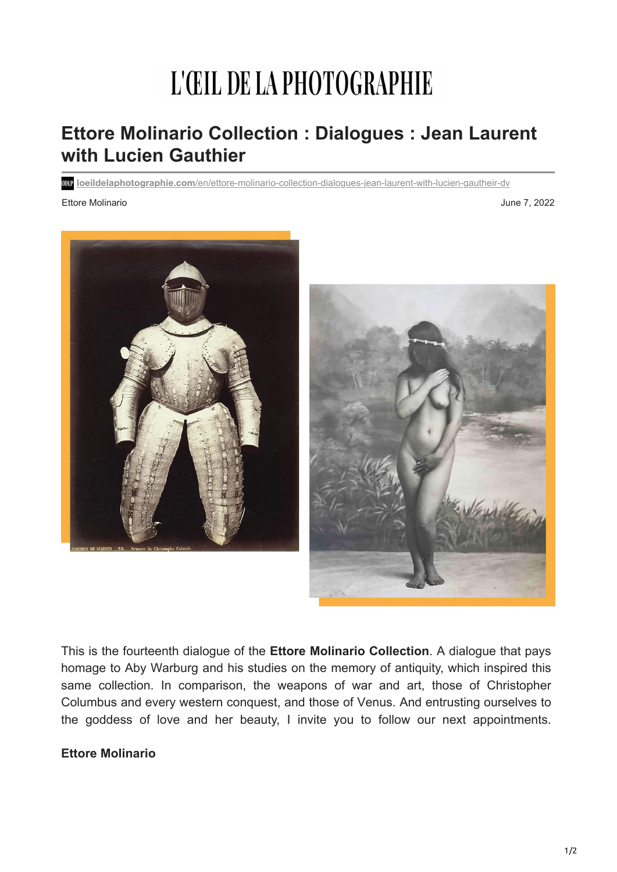# L'ŒIL DE LA PHOTOGRAPHIE

# **Ettore Molinario Collection : Dialogues : Jean Laurent with Lucien Gauthier**

**loeildelaphotographie.com**[/en/ettore-molinario-collection-dialogues-jean-laurent-with-lucien-gautheir-dv](https://loeildelaphotographie.com/en/ettore-molinario-collection-dialogues-jean-laurent-with-lucien-gautheir-dv/)

#### Ettore Molinario June 7, 2022





This is the fourteenth dialogue of the **Ettore Molinario Collection**. A dialogue that pays homage to Aby Warburg and his studies on the memory of antiquity, which inspired this same collection. In comparison, the weapons of war and art, those of Christopher Columbus and every western conquest, and those of Venus. And entrusting ourselves to the goddess of love and her beauty, I invite you to follow our next appointments.

## **Ettore Molinario**